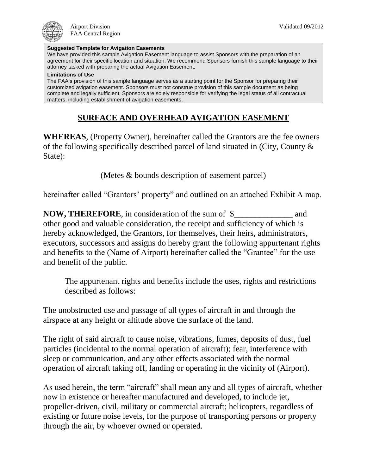## **Suggested Template for Avigation Easements**

We have provided this sample Avigation Easement language to assist Sponsors with the preparation of an agreement for their specific location and situation. We recommend Sponsors furnish this sample language to their attorney tasked with preparing the actual Avigation Easement.

## **Limitations of Use**

The FAA's provision of this sample language serves as a starting point for the Sponsor for preparing their customized avigation easement. Sponsors must not construe provision of this sample document as being complete and legally sufficient. Sponsors are solely responsible for verifying the legal status of all contractual matters, including establishment of avigation easements.

## **SURFACE AND OVERHEAD AVIGATION EASEMENT**

**WHEREAS**, (Property Owner), hereinafter called the Grantors are the fee owners of the following specifically described parcel of land situated in (City, County & State):

(Metes & bounds description of easement parcel)

hereinafter called "Grantors' property" and outlined on an attached Exhibit A map.

**NOW, THEREFORE**, in consideration of the sum of \$\_\_\_\_\_\_\_\_\_\_\_\_\_ and other good and valuable consideration, the receipt and sufficiency of which is hereby acknowledged, the Grantors, for themselves, their heirs, administrators, executors, successors and assigns do hereby grant the following appurtenant rights and benefits to the (Name of Airport) hereinafter called the "Grantee" for the use and benefit of the public.

The appurtenant rights and benefits include the uses, rights and restrictions described as follows:

The unobstructed use and passage of all types of aircraft in and through the airspace at any height or altitude above the surface of the land.

The right of said aircraft to cause noise, vibrations, fumes, deposits of dust, fuel particles (incidental to the normal operation of aircraft); fear, interference with sleep or communication, and any other effects associated with the normal operation of aircraft taking off, landing or operating in the vicinity of (Airport).

As used herein, the term "aircraft" shall mean any and all types of aircraft, whether now in existence or hereafter manufactured and developed, to include jet, propeller-driven, civil, military or commercial aircraft; helicopters, regardless of existing or future noise levels, for the purpose of transporting persons or property through the air, by whoever owned or operated.